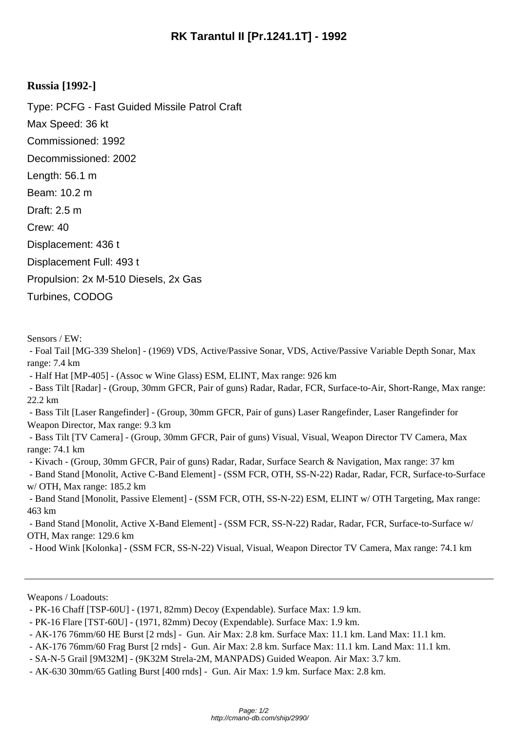## **Russia [1992-]**

Type: PCFG - Fast Guided Missile Patrol Craft Max Speed: 36 kt Commissioned: 1992 Decommissioned: 2002 Length: 56.1 m Beam: 10.2 m Draft: 2.5 m Crew: 40 Displacement: 436 t Displacement Full: 493 t Propulsion: 2x M-510 Diesels, 2x Gas Turbines, CODOG

Sensors / EW:

 - Foal Tail [MG-339 Shelon] - (1969) VDS, Active/Passive Sonar, VDS, Active/Passive Variable Depth Sonar, Max range: 7.4 km

- Half Hat [MP-405] - (Assoc w Wine Glass) ESM, ELINT, Max range: 926 km

 - Bass Tilt [Radar] - (Group, 30mm GFCR, Pair of guns) Radar, Radar, FCR, Surface-to-Air, Short-Range, Max range: 22.2 km

 - Bass Tilt [Laser Rangefinder] - (Group, 30mm GFCR, Pair of guns) Laser Rangefinder, Laser Rangefinder for Weapon Director, Max range: 9.3 km

 - Bass Tilt [TV Camera] - (Group, 30mm GFCR, Pair of guns) Visual, Visual, Weapon Director TV Camera, Max range: 74.1 km

- Kivach - (Group, 30mm GFCR, Pair of guns) Radar, Radar, Surface Search & Navigation, Max range: 37 km

 - Band Stand [Monolit, Active C-Band Element] - (SSM FCR, OTH, SS-N-22) Radar, Radar, FCR, Surface-to-Surface w/ OTH, Max range: 185.2 km

 - Band Stand [Monolit, Passive Element] - (SSM FCR, OTH, SS-N-22) ESM, ELINT w/ OTH Targeting, Max range: 463 km

 - Band Stand [Monolit, Active X-Band Element] - (SSM FCR, SS-N-22) Radar, Radar, FCR, Surface-to-Surface w/ OTH, Max range: 129.6 km

- Hood Wink [Kolonka] - (SSM FCR, SS-N-22) Visual, Visual, Weapon Director TV Camera, Max range: 74.1 km

Weapons / Loadouts:

- SA-N-5 Grail [9M32M] - (9K32M Strela-2M, MANPADS) Guided Weapon. Air Max: 3.7 km.

 <sup>-</sup> PK-16 Chaff [TSP-60U] - (1971, 82mm) Decoy (Expendable). Surface Max: 1.9 km.

 <sup>-</sup> PK-16 Flare [TST-60U] - (1971, 82mm) Decoy (Expendable). Surface Max: 1.9 km.

 <sup>-</sup> AK-176 76mm/60 HE Burst [2 rnds] - Gun. Air Max: 2.8 km. Surface Max: 11.1 km. Land Max: 11.1 km.

 <sup>-</sup> AK-176 76mm/60 Frag Burst [2 rnds] - Gun. Air Max: 2.8 km. Surface Max: 11.1 km. Land Max: 11.1 km.

 <sup>-</sup> AK-630 30mm/65 Gatling Burst [400 rnds] - Gun. Air Max: 1.9 km. Surface Max: 2.8 km.